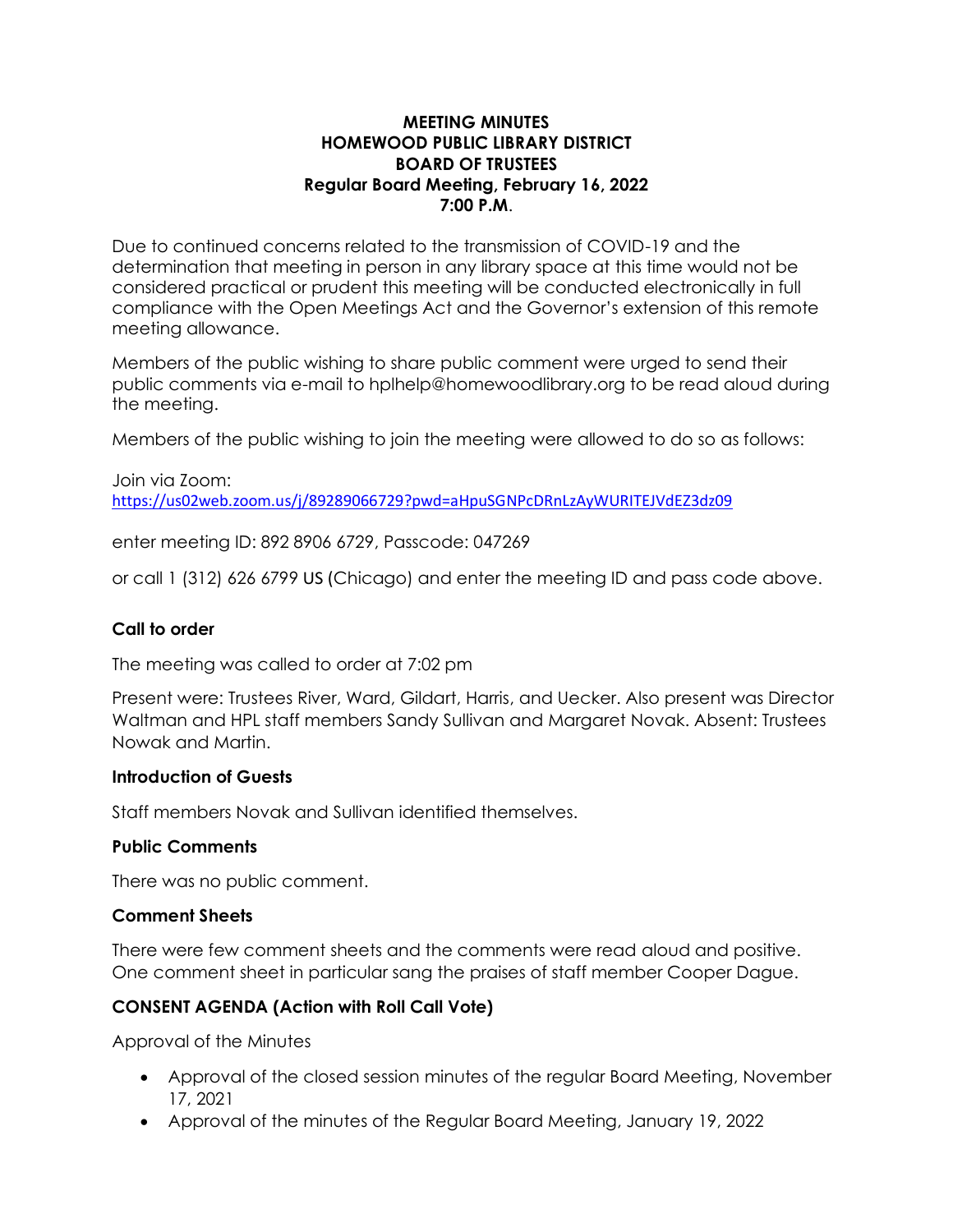### **MEETING MINUTES HOMEWOOD PUBLIC LIBRARY DISTRICT BOARD OF TRUSTEES Regular Board Meeting, February 16, 2022 7:00 P.M**.

Due to continued concerns related to the transmission of COVID-19 and the determination that meeting in person in any library space at this time would not be considered practical or prudent this meeting will be conducted electronically in full compliance with the Open Meetings Act and the Governor's extension of this remote meeting allowance.

Members of the public wishing to share public comment were urged to send their public comments via e-mail to hplhelp@homewoodlibrary.org to be read aloud during the meeting.

Members of the public wishing to join the meeting were allowed to do so as follows:

# Join via Zoom: <https://us02web.zoom.us/j/89289066729?pwd=aHpuSGNPcDRnLzAyWURITEJVdEZ3dz09>

enter meeting ID: 892 8906 6729, Passcode: 047269

or call 1 (312) 626 6799 US (Chicago) and enter the meeting ID and pass code above.

## **Call to order**

The meeting was called to order at 7:02 pm

Present were: Trustees River, Ward, Gildart, Harris, and Uecker. Also present was Director Waltman and HPL staff members Sandy Sullivan and Margaret Novak. Absent: Trustees Nowak and Martin.

### **Introduction of Guests**

Staff members Novak and Sullivan identified themselves.

### **Public Comments**

There was no public comment.

### **Comment Sheets**

There were few comment sheets and the comments were read aloud and positive. One comment sheet in particular sang the praises of staff member Cooper Dague.

## **CONSENT AGENDA (Action with Roll Call Vote)**

Approval of the Minutes

- Approval of the closed session minutes of the regular Board Meeting, November 17, 2021
- Approval of the minutes of the Regular Board Meeting, January 19, 2022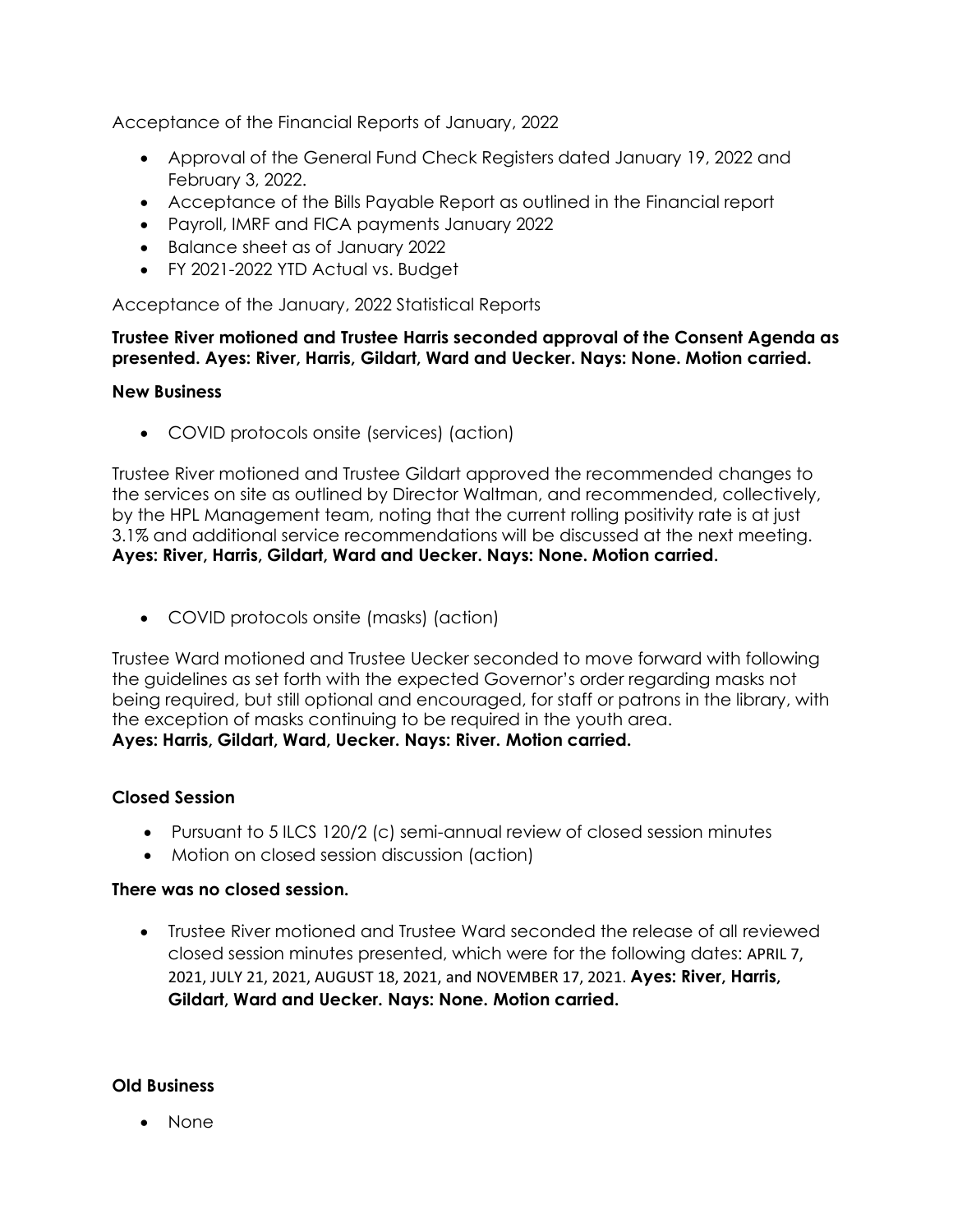Acceptance of the Financial Reports of January, 2022

- Approval of the General Fund Check Registers dated January 19, 2022 and February 3, 2022.
- Acceptance of the Bills Payable Report as outlined in the Financial report
- Payroll, IMRF and FICA payments January 2022
- Balance sheet as of January 2022
- FY 2021-2022 YTD Actual vs. Budget

Acceptance of the January, 2022 Statistical Reports

## **Trustee River motioned and Trustee Harris seconded approval of the Consent Agenda as presented. Ayes: River, Harris, Gildart, Ward and Uecker. Nays: None. Motion carried.**

### **New Business**

• COVID protocols onsite (services) (action)

Trustee River motioned and Trustee Gildart approved the recommended changes to the services on site as outlined by Director Waltman, and recommended, collectively, by the HPL Management team, noting that the current rolling positivity rate is at just 3.1% and additional service recommendations will be discussed at the next meeting. **Ayes: River, Harris, Gildart, Ward and Uecker. Nays: None. Motion carried.**

• COVID protocols onsite (masks) (action)

Trustee Ward motioned and Trustee Uecker seconded to move forward with following the guidelines as set forth with the expected Governor's order regarding masks not being required, but still optional and encouraged, for staff or patrons in the library, with the exception of masks continuing to be required in the youth area. **Ayes: Harris, Gildart, Ward, Uecker. Nays: River. Motion carried.**

## **Closed Session**

- Pursuant to 5 ILCS 120/2 (c) semi-annual review of closed session minutes
- Motion on closed session discussion (action)

## **There was no closed session.**

• Trustee River motioned and Trustee Ward seconded the release of all reviewed closed session minutes presented, which were for the following dates: APRIL 7, 2021, JULY 21, 2021, AUGUST 18, 2021, and NOVEMBER 17, 2021. **Ayes: River, Harris, Gildart, Ward and Uecker. Nays: None. Motion carried.**

### **Old Business**

• None